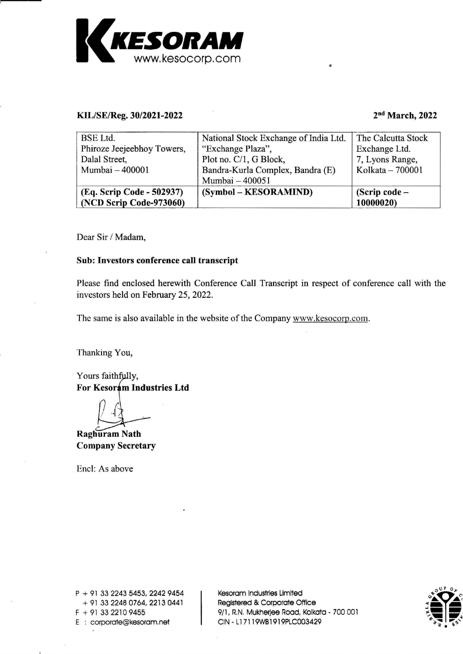

## KIL/SE/Reg. 30/2021-2022 2nd March, 2022

| KESORAM<br>www.kesocorp.com                          |                                                     |                                       |
|------------------------------------------------------|-----------------------------------------------------|---------------------------------------|
| KIL/SE/Reg. 30/2021-2022<br><b>BSE</b> Ltd.          | $\cdot$ 25<br>National Stock Exchange of India Ltd. | 2nd March, 2022<br>The Calcutta Stock |
| Phiroze Jeejeebhoy Towers,<br>Dalal Street,          | "Exchange Plaza",<br>Plot no. C/1, G Block,         | Exchange Ltd.<br>7, Lyons Range,      |
| Mumbai - 400001                                      | Bandra-Kurla Complex, Bandra (E)<br>Mumbai - 400051 | Kolkata - 700001                      |
| (Eq. Scrip Code - 502937)<br>(NCD Scrip Code-973060) | (Symbol – KESORAMIND)                               | (Scrip code -<br>10000020)            |

Dear <sup>S</sup>i<sup>r</sup> / Madam,

## Sub: Investors conference call transcript

Please find enclosed herewith Conference Call Transcript <sup>i</sup><sup>n</sup> respect of conference <sup>c</sup>all with the investors held on February 25, 2022.

The same <sup>i</sup><sup>s</sup> <sup>a</sup>ls<sup>o</sup> available <sup>i</sup><sup>n</sup> <sup>t</sup>h<sup>e</sup> website <sup>o</sup><sup>f</sup> <sup>t</sup>h<sup>e</sup> Company www.kesocorp.com.

Thanking You,

Yours faithfully, For Kesoram Industries Ltd

Raghuram Nath Company Secretary

Encl: As above

P + 91 33 2243 5<br>+ 91 33 2248 0<br>F + 91 33 2210 9<br>E : corporate@k  $P + 91 33 2243 5453, 2242 9454$  | Kesoram Industries Limited  $+$  91 33 2248 0764, 2213 0441 Registered & Corporate Office E : corporate@kesoram.net | CIN - L17119WB1919PLC003429

 $F + 91$  33 2210 9455  $9/1$ , R.N. Mukherjee Road, Kolkata - 700 001

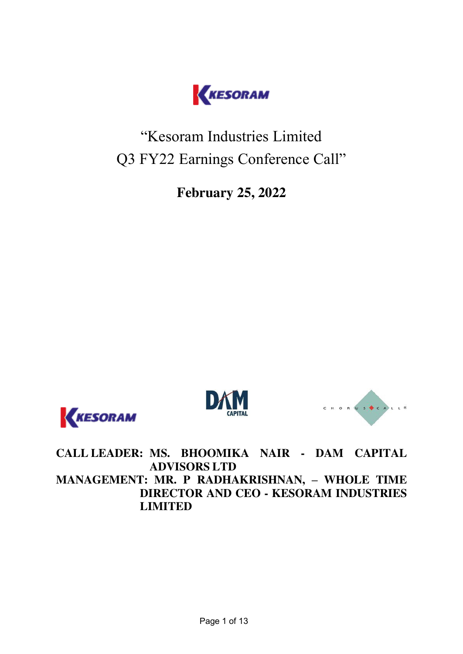

"Kesoram Industries Limited Q3 FY22 Earnings Conference Call"

**February 25, 2022** 







**CALL LEADER: MS. BHOOMIKA NAIR - DAM CAPITAL ADVISORS LTD MANAGEMENT: MR. P RADHAKRISHNAN, – WHOLE TIME DIRECTOR AND CEO - KESORAM INDUSTRIES LIMITED**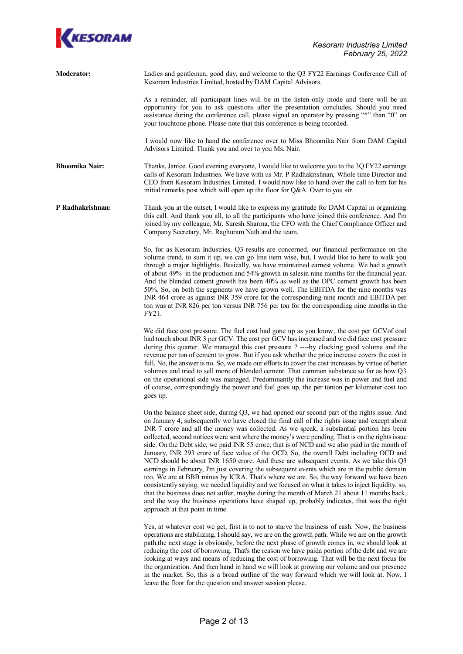

| <b>Moderator:</b>     | Ladies and gentlemen, good day, and welcome to the Q3 FY22 Earnings Conference Call of<br>Kesoram Industries Limited, hosted by DAM Capital Advisors.                                                                                                                                                                                                                                                                                                                                                                                                                                                                                                                                                                                                                                               |
|-----------------------|-----------------------------------------------------------------------------------------------------------------------------------------------------------------------------------------------------------------------------------------------------------------------------------------------------------------------------------------------------------------------------------------------------------------------------------------------------------------------------------------------------------------------------------------------------------------------------------------------------------------------------------------------------------------------------------------------------------------------------------------------------------------------------------------------------|
|                       | As a reminder, all participant lines will be in the listen-only mode and there will be an<br>opportunity for you to ask questions after the presentation concludes. Should you need<br>assistance during the conference call, please signal an operator by pressing "*" than "0" on<br>your touchtone phone. Please note that this conference is being recorded.                                                                                                                                                                                                                                                                                                                                                                                                                                    |
|                       | I would now like to hand the conference over to Miss Bhoomika Nair from DAM Capital<br>Advisors Limited. Thank you and over to you Ms. Nair.                                                                                                                                                                                                                                                                                                                                                                                                                                                                                                                                                                                                                                                        |
| <b>Bhoomika Nair:</b> | Thanks, Janice. Good evening everyone, I would like to welcome you to the 3Q FY22 earnings<br>calls of Kesoram Industries. We have with us Mr. P Radhakrishnan, Whole time Director and<br>CEO from Kesoram Industries Limited. I would now like to hand over the call to him for his<br>initial remarks post which will open up the floor for Q&A. Over to you sir.                                                                                                                                                                                                                                                                                                                                                                                                                                |
| P Radhakrishnan:      | Thank you at the outset, I would like to express my gratitude for DAM Capital in organizing<br>this call. And thank you all, to all the participants who have joined this conference. And I'm<br>joined by my colleague, Mr. Suresh Sharma, the CFO with the Chief Compliance Officer and<br>Company Secretary, Mr. Raghuram Nath and the team.                                                                                                                                                                                                                                                                                                                                                                                                                                                     |
|                       | So, for as Kesoram Industries, Q3 results are concerned, our financial performance on the<br>volume trend, to sum it up, we can go line item wise, but, I would like to here to walk you<br>through a major highlights. Basically, we have maintained earnest volume. We had a growth<br>of about 49% in the production and 54% growth in salesin nine months for the financial year.<br>And the blended cement growth has been 40% as well as the OPC cement growth has been<br>50%. So, on both the segments we have grown well. The EBITDA for the nine months was<br>INR 464 crore as against INR 359 crore for the corresponding nine month and EBITDA per<br>ton was at INR 826 per ton versus INR 756 per ton for the corresponding nine months in the<br>FY21.                              |
|                       | We did face cost pressure. The fuel cost had gone up as you know, the cost per GCVof coal<br>had touch about INR 3 per GCV. The cost per GCV has increased and we did face cost pressure<br>during this quarter. We managed this cost pressure ? ----by clocking good volume and the<br>revenue per ton of cement to grow. But if you ask whether the price increase covers the cost in<br>full, No, the answer is no. So, we made our efforts to cover the cost increases by virtue of better<br>volumes and tried to sell more of blended cement. That common substance so far as how Q3<br>on the operational side was managed. Predominantly the increase was in power and fuel and<br>of course, correspondingly the power and fuel goes up, the per tonton per kilometer cost too<br>goes up. |
|                       | On the balance sheet side, during Q3, we had opened our second part of the rights issue. And<br>on January 4, subsequently we have closed the final call of the rights issue and except about<br>INR 7 crore and all the money was collected. As we speak, a substantial portion has been<br>collected, second notices were sent where the money's were pending. That is on the rights issue<br>side. On the Debt side, we paid INR 55 crore, that is of NCD and we also paid in the month of<br>January, INR 293 crore of face value of the OCD. So, the overall Debt including OCD and<br>NCD should be about INR 1650 crore. And these are subsequent events. As we take this Q3<br>earnings in February, I'm just covering the subsequent events which are in the public domain                 |

too. We are at BBB minus by ICRA. That's where we are. So, the way forward we have been consistently saying, we needed liquidity and we focused on what it takes to inject liquidity, so, that the business does not suffer, maybe during the month of March 21 about 11 months back, and the way the business operations have shaped up, probably indicates, that was the right approach at that point in time.

 Yes, at whatever cost we get, first is to not to starve the business of cash. Now, the business operations are stabilizing, I should say, we are on the growth path. While we are on the growth path,the next stage is obviously, before the next phase of growth comes in, we should look at reducing the cost of borrowing. That's the reason we have paida portion of the debt and we are looking at ways and means of reducing the cost of borrowing. That will be the next focus for the organization. And then hand in hand we will look at growing our volume and our presence in the market. So, this is a broad outline of the way forward which we will look at. Now, I leave the floor for the question and answer session please.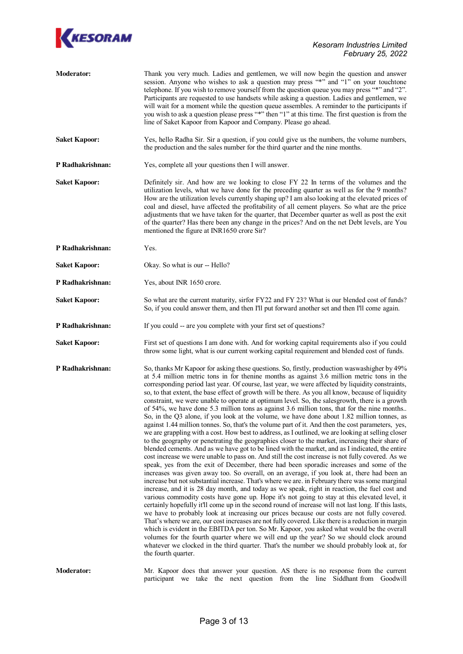

| <b>Moderator:</b>    | Thank you very much. Ladies and gentlemen, we will now begin the question and answer<br>session. Anyone who wishes to ask a question may press "*" and "1" on your touchtone<br>telephone. If you wish to remove yourself from the question queue you may press "*" and "2".<br>Participants are requested to use handsets while asking a question. Ladies and gentlemen, we<br>will wait for a moment while the question queue assembles. A reminder to the participants if<br>you wish to ask a question please press "*" then "1" at this time. The first question is from the<br>line of Saket Kapoor from Kapoor and Company. Please go ahead.                                                                                                                                                                                                                                                                                                                                                                                                                                                                                                                                                                                                                                                                                                                                                                                                                                                                                                                                                                                                                                                                                                                                                                                                                                                                                                                                                                                                                                                                                                                                                                                                                                                                                               |
|----------------------|---------------------------------------------------------------------------------------------------------------------------------------------------------------------------------------------------------------------------------------------------------------------------------------------------------------------------------------------------------------------------------------------------------------------------------------------------------------------------------------------------------------------------------------------------------------------------------------------------------------------------------------------------------------------------------------------------------------------------------------------------------------------------------------------------------------------------------------------------------------------------------------------------------------------------------------------------------------------------------------------------------------------------------------------------------------------------------------------------------------------------------------------------------------------------------------------------------------------------------------------------------------------------------------------------------------------------------------------------------------------------------------------------------------------------------------------------------------------------------------------------------------------------------------------------------------------------------------------------------------------------------------------------------------------------------------------------------------------------------------------------------------------------------------------------------------------------------------------------------------------------------------------------------------------------------------------------------------------------------------------------------------------------------------------------------------------------------------------------------------------------------------------------------------------------------------------------------------------------------------------------------------------------------------------------------------------------------------------------|
| <b>Saket Kapoor:</b> | Yes, hello Radha Sir. Sir a question, if you could give us the numbers, the volume numbers,<br>the production and the sales number for the third quarter and the nine months.                                                                                                                                                                                                                                                                                                                                                                                                                                                                                                                                                                                                                                                                                                                                                                                                                                                                                                                                                                                                                                                                                                                                                                                                                                                                                                                                                                                                                                                                                                                                                                                                                                                                                                                                                                                                                                                                                                                                                                                                                                                                                                                                                                     |
| P Radhakrishnan:     | Yes, complete all your questions then I will answer.                                                                                                                                                                                                                                                                                                                                                                                                                                                                                                                                                                                                                                                                                                                                                                                                                                                                                                                                                                                                                                                                                                                                                                                                                                                                                                                                                                                                                                                                                                                                                                                                                                                                                                                                                                                                                                                                                                                                                                                                                                                                                                                                                                                                                                                                                              |
| <b>Saket Kapoor:</b> | Definitely sir. And how are we looking to close FY 22 In terms of the volumes and the<br>utilization levels, what we have done for the preceding quarter as well as for the 9 months?<br>How are the utilization levels currently shaping up? I am also looking at the elevated prices of<br>coal and diesel, have affected the profitability of all cement players. So what are the price<br>adjustments that we have taken for the quarter, that December quarter as well as post the exit<br>of the quarter? Has there been any change in the prices? And on the net Debt levels, are You<br>mentioned the figure at INR1650 crore Sir?                                                                                                                                                                                                                                                                                                                                                                                                                                                                                                                                                                                                                                                                                                                                                                                                                                                                                                                                                                                                                                                                                                                                                                                                                                                                                                                                                                                                                                                                                                                                                                                                                                                                                                        |
| P Radhakrishnan:     | Yes.                                                                                                                                                                                                                                                                                                                                                                                                                                                                                                                                                                                                                                                                                                                                                                                                                                                                                                                                                                                                                                                                                                                                                                                                                                                                                                                                                                                                                                                                                                                                                                                                                                                                                                                                                                                                                                                                                                                                                                                                                                                                                                                                                                                                                                                                                                                                              |
| <b>Saket Kapoor:</b> | Okay. So what is our -- Hello?                                                                                                                                                                                                                                                                                                                                                                                                                                                                                                                                                                                                                                                                                                                                                                                                                                                                                                                                                                                                                                                                                                                                                                                                                                                                                                                                                                                                                                                                                                                                                                                                                                                                                                                                                                                                                                                                                                                                                                                                                                                                                                                                                                                                                                                                                                                    |
| P Radhakrishnan:     | Yes, about INR 1650 crore.                                                                                                                                                                                                                                                                                                                                                                                                                                                                                                                                                                                                                                                                                                                                                                                                                                                                                                                                                                                                                                                                                                                                                                                                                                                                                                                                                                                                                                                                                                                                                                                                                                                                                                                                                                                                                                                                                                                                                                                                                                                                                                                                                                                                                                                                                                                        |
| <b>Saket Kapoor:</b> | So what are the current maturity, sirfor FY22 and FY 23? What is our blended cost of funds?<br>So, if you could answer them, and then I'll put forward another set and then I'll come again.                                                                                                                                                                                                                                                                                                                                                                                                                                                                                                                                                                                                                                                                                                                                                                                                                                                                                                                                                                                                                                                                                                                                                                                                                                                                                                                                                                                                                                                                                                                                                                                                                                                                                                                                                                                                                                                                                                                                                                                                                                                                                                                                                      |
| P Radhakrishnan:     | If you could -- are you complete with your first set of questions?                                                                                                                                                                                                                                                                                                                                                                                                                                                                                                                                                                                                                                                                                                                                                                                                                                                                                                                                                                                                                                                                                                                                                                                                                                                                                                                                                                                                                                                                                                                                                                                                                                                                                                                                                                                                                                                                                                                                                                                                                                                                                                                                                                                                                                                                                |
| <b>Saket Kapoor:</b> | First set of questions I am done with. And for working capital requirements also if you could<br>throw some light, what is our current working capital requirement and blended cost of funds.                                                                                                                                                                                                                                                                                                                                                                                                                                                                                                                                                                                                                                                                                                                                                                                                                                                                                                                                                                                                                                                                                                                                                                                                                                                                                                                                                                                                                                                                                                                                                                                                                                                                                                                                                                                                                                                                                                                                                                                                                                                                                                                                                     |
| P Radhakrishnan:     | So, thanks Mr Kapoor for asking these questions. So, firstly, production was washigher by 49%<br>at 5.4 million metric tons in for thenine months as against 3.6 million metric tons in the<br>corresponding period last year. Of course, last year, we were affected by liquidity constraints,<br>so, to that extent, the base effect of growth will be there. As you all know, because of liquidity<br>constraint, we were unable to operate at optimum level. So, the salesgrowth, there is a growth<br>of 54%, we have done 5.3 million tons as against 3.6 million tons, that for the nine months<br>So, in the Q3 alone, if you look at the volume, we have done about 1.82 million tonnes, as<br>against 1.44 million tonnes. So, that's the volume part of it. And then the cost parameters, yes,<br>we are grappling with a cost. How best to address, as I outlined, we are looking at selling closer<br>to the geography or penetrating the geographies closer to the market, increasing their share of<br>blended cements. And as we have got to be lined with the market, and as I indicated, the entire<br>cost increase we were unable to pass on. And still the cost increase is not fully covered. As we<br>speak, yes from the exit of December, there had been sporadic increases and some of the<br>increases was given away too. So overall, on an average, if you look at, there had been an<br>increase but not substantial increase. That's where we are, in February there was some marginal<br>increase, and it is 28 day month, and today as we speak, right in reaction, the fuel cost and<br>various commodity costs have gone up. Hope it's not going to stay at this elevated level, it<br>certainly hopefully it'll come up in the second round of increase will not last long. If this lasts,<br>we have to probably look at increasing our prices because our costs are not fully covered.<br>That's where we are, our cost increases are not fully covered. Like there is a reduction in margin<br>which is evident in the EBITDA per ton. So Mr. Kapoor, you asked what would be the overall<br>volumes for the fourth quarter where we will end up the year? So we should clock around<br>whatever we clocked in the third quarter. That's the number we should probably look at, for<br>the fourth quarter. |
| <b>Moderator:</b>    | Mr. Kapoor does that answer your question. AS there is no response from the current<br>participant we take the next question from the line Siddhant-from Goodwill                                                                                                                                                                                                                                                                                                                                                                                                                                                                                                                                                                                                                                                                                                                                                                                                                                                                                                                                                                                                                                                                                                                                                                                                                                                                                                                                                                                                                                                                                                                                                                                                                                                                                                                                                                                                                                                                                                                                                                                                                                                                                                                                                                                 |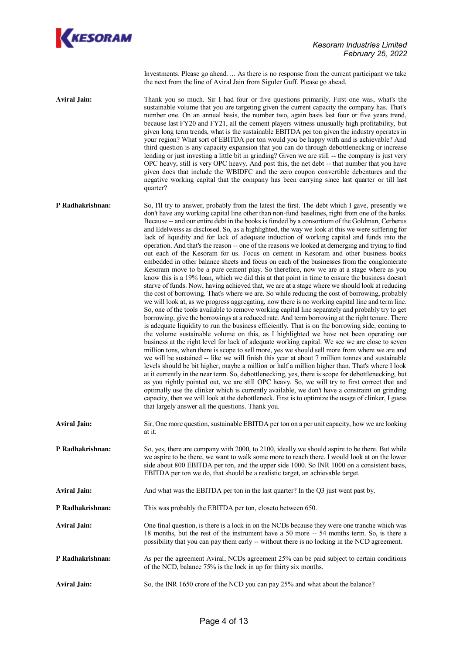

Investments. Please go ahead…. As there is no response from the current participant we take the next from the line of Aviral Jain from Siguler Guff. Please go ahead.

**Aviral Jain:** Thank you so much. Sir I had four or five questions primarily. First one was, what's the sustainable volume that you are targeting given the current capacity the company has. That's number one. On an annual basis, the number two, again basis last four or five years trend, because last FY20 and FY21, all the cement players witness unusually high profitability, but given long term trends, what is the sustainable EBITDA per ton given the industry operates in your region? What sort of EBITDA per ton would you be happy with and is achievable? And third question is any capacity expansion that you can do through debottlenecking or increase lending or just investing a little bit in grinding? Given we are still -- the company is just very OPC heavy, still is very OPC heavy. And post this, the net debt -- that number that you have given does that include the WBIDFC and the zero coupon convertible debentures and the negative working capital that the company has been carrying since last quarter or till last quarter?

- **P Radhakrishnan:** So, I'll try to answer, probably from the latest the first. The debt which I gave, presently we don't have any working capital line other than non-fund baselines, right from one of the banks. Because -- and our entire debt in the books is funded by a consortium of the Goldman, Cerberus and Edelweiss as disclosed. So, as a highlighted, the way we look at this we were suffering for lack of liquidity and for lack of adequate induction of working capital and funds into the operation. And that's the reason -- one of the reasons we looked at demerging and trying to find out each of the Kesoram for us. Focus on cement in Kesoram and other business books embedded in other balance sheets and focus on each of the businesses from the conglomerate Kesoram move to be a pure cement play. So therefore, now we are at a stage where as you know this is a 19% loan, which we did this at that point in time to ensure the business doesn't starve of funds. Now, having achieved that, we are at a stage where we should look at reducing the cost of borrowing. That's where we are. So while reducing the cost of borrowing, probably we will look at, as we progress aggregating, now there is no working capital line and term line. So, one of the tools available to remove working capital line separately and probably try to get borrowing, give the borrowings at a reduced rate. And term borrowing at the right tenure. There is adequate liquidity to run the business efficiently. That is on the borrowing side, coming to the volume sustainable volume on this, as I highlighted we have not been operating our business at the right level for lack of adequate working capital. We see we are close to seven million tons, when there is scope to sell more, yes we should sell more from where we are and we will be sustained -- like we will finish this year at about 7 million tonnes and sustainable levels should be bit higher, maybe a million or half a million higher than. That's where I look at it currently in the near term. So, debottlenecking, yes, there is scope for debottlenecking, but as you rightly pointed out, we are still OPC heavy. So, we will try to first correct that and optimally use the clinker which is currently available, we don't have a constraint on grinding capacity, then we will look at the debottleneck. First is to optimize the usage of clinker, I guess that largely answer all the questions. Thank you. **Aviral Jain:** Sir, One more question, sustainable EBITDA per ton on a per unit capacity, how we are looking at it.
- **P Radhakrishnan:** So, yes, there are company with 2000, to 2100, ideally we should aspire to be there. But while we aspire to be there, we want to walk some more to reach there. I would look at on the lower side about 800 EBITDA per ton, and the upper side 1000. So INR 1000 on a consistent basis, EBITDA per ton we do, that should be a realistic target, an achievable target.
- **Aviral Jain:** And what was the EBITDA per ton in the last quarter? In the Q3 just went past by.
- **P Radhakrishnan:** This was probably the EBITDA per ton, closeto between 650.
- **Aviral Jain:** One final question, is there is a lock in on the NCDs because they were one tranche which was 18 months, but the rest of the instrument have a 50 more -- 54 months term. So, is there a possibility that you can pay them early -- without there is no locking in the NCD agreement.
- **P Radhakrishnan:** As per the agreement Aviral, NCDs agreement 25% can be paid subject to certain conditions of the NCD, balance 75% is the lock in up for thirty six months.
- **Aviral Jain:** So, the INR 1650 crore of the NCD you can pay 25% and what about the balance?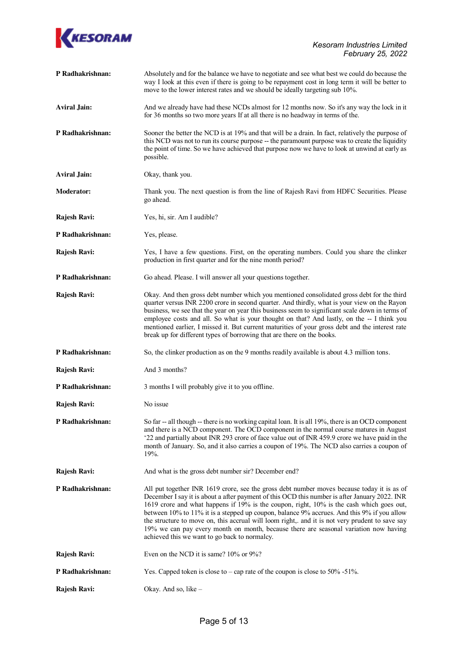

| P Radhakrishnan:    | Absolutely and for the balance we have to negotiate and see what best we could do because the<br>way I look at this even if there is going to be repayment cost in long term it will be better to<br>move to the lower interest rates and we should be ideally targeting sub 10%.                                                                                                                                                                                                                                                                                                                                                 |
|---------------------|-----------------------------------------------------------------------------------------------------------------------------------------------------------------------------------------------------------------------------------------------------------------------------------------------------------------------------------------------------------------------------------------------------------------------------------------------------------------------------------------------------------------------------------------------------------------------------------------------------------------------------------|
| <b>Aviral Jain:</b> | And we already have had these NCDs almost for 12 months now. So it's any way the lock in it<br>for 36 months so two more years If at all there is no headway in terms of the.                                                                                                                                                                                                                                                                                                                                                                                                                                                     |
| P Radhakrishnan:    | Sooner the better the NCD is at 19% and that will be a drain. In fact, relatively the purpose of<br>this NCD was not to run its course purpose -- the paramount purpose was to create the liquidity<br>the point of time. So we have achieved that purpose now we have to look at unwind at early as<br>possible.                                                                                                                                                                                                                                                                                                                 |
| <b>Aviral Jain:</b> | Okay, thank you.                                                                                                                                                                                                                                                                                                                                                                                                                                                                                                                                                                                                                  |
| <b>Moderator:</b>   | Thank you. The next question is from the line of Rajesh Ravi from HDFC Securities. Please<br>go ahead.                                                                                                                                                                                                                                                                                                                                                                                                                                                                                                                            |
| Rajesh Ravi:        | Yes, hi, sir. Am I audible?                                                                                                                                                                                                                                                                                                                                                                                                                                                                                                                                                                                                       |
| P Radhakrishnan:    | Yes, please.                                                                                                                                                                                                                                                                                                                                                                                                                                                                                                                                                                                                                      |
| Rajesh Ravi:        | Yes, I have a few questions. First, on the operating numbers. Could you share the clinker<br>production in first quarter and for the nine month period?                                                                                                                                                                                                                                                                                                                                                                                                                                                                           |
| P Radhakrishnan:    | Go ahead. Please. I will answer all your questions together.                                                                                                                                                                                                                                                                                                                                                                                                                                                                                                                                                                      |
| Rajesh Ravi:        | Okay. And then gross debt number which you mentioned consolidated gross debt for the third<br>quarter versus INR 2200 crore in second quarter. And thirdly, what is your view on the Rayon<br>business, we see that the year on year this business seem to significant scale down in terms of<br>employee costs and all. So what is your thought on that? And lastly, on the -- I think you<br>mentioned earlier, I missed it. But current maturities of your gross debt and the interest rate<br>break up for different types of borrowing that are there on the books.                                                          |
| P Radhakrishnan:    | So, the clinker production as on the 9 months readily available is about 4.3 million tons.                                                                                                                                                                                                                                                                                                                                                                                                                                                                                                                                        |
| Rajesh Ravi:        | And 3 months?                                                                                                                                                                                                                                                                                                                                                                                                                                                                                                                                                                                                                     |
| P Radhakrishnan:    | 3 months I will probably give it to you offline.                                                                                                                                                                                                                                                                                                                                                                                                                                                                                                                                                                                  |
| Rajesh Ravi:        | No issue                                                                                                                                                                                                                                                                                                                                                                                                                                                                                                                                                                                                                          |
| P Radhakrishnan:    | So far -- all though -- there is no working capital loan. It is all 19%, there is an OCD component<br>and there is a NCD component. The OCD component in the normal course matures in August<br>'22 and partially about INR 293 crore of face value out of INR 459.9 crore we have paid in the<br>month of January. So, and it also carries a coupon of 19%. The NCD also carries a coupon of<br>19%.                                                                                                                                                                                                                             |
| Rajesh Ravi:        | And what is the gross debt number sir? December end?                                                                                                                                                                                                                                                                                                                                                                                                                                                                                                                                                                              |
| P Radhakrishnan:    | All put together INR 1619 crore, see the gross debt number moves because today it is as of<br>December I say it is about a after payment of this OCD this number is after January 2022. INR<br>1619 crore and what happens if 19% is the coupon, right, 10% is the cash which goes out,<br>between 10% to 11% it is a stepped up coupon, balance 9% accrues. And this 9% if you allow<br>the structure to move on, this accrual will loom right,. and it is not very prudent to save say<br>19% we can pay every month on month, because there are seasonal variation now having<br>achieved this we want to go back to normalcy. |
| Rajesh Ravi:        | Even on the NCD it is same? 10% or 9%?                                                                                                                                                                                                                                                                                                                                                                                                                                                                                                                                                                                            |
| P Radhakrishnan:    | Yes. Capped token is close to $-\text{cap rate}$ of the coupon is close to 50% -51%.                                                                                                                                                                                                                                                                                                                                                                                                                                                                                                                                              |
| Rajesh Ravi:        | Okay. And so, like -                                                                                                                                                                                                                                                                                                                                                                                                                                                                                                                                                                                                              |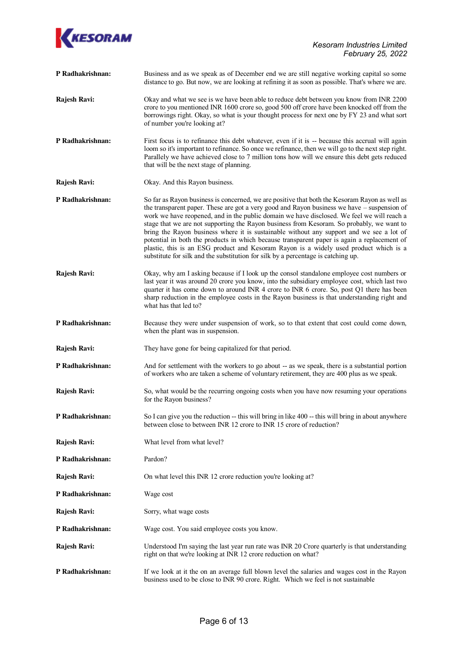

- **P Radhakrishnan:** Business and as we speak as of December end we are still negative working capital so some distance to go. But now, we are looking at refining it as soon as possible. That's where we are.
- **Rajesh Ravi:** Okay and what we see is we have been able to reduce debt between you know from INR 2200 crore to you mentioned INR 1600 crore so, good 500 off crore have been knocked off from the borrowings right. Okay, so what is your thought process for next one by FY 23 and what sort of number you're looking at?
- **P Radhakrishnan:** First focus is to refinance this debt whatever, even if it is -- because this accrual will again loom so it's important to refinance. So once we refinance, then we will go to the next step right. Parallely we have achieved close to 7 million tons how will we ensure this debt gets reduced that will be the next stage of planning.
- **Rajesh Ravi:** Okay. And this Rayon business.
- **P Radhakrishnan:** So far as Rayon business is concerned, we are positive that both the Kesoram Rayon as well as the transparent paper. These are got a very good and Rayon business we have – suspension of work we have reopened, and in the public domain we have disclosed. We feel we will reach a stage that we are not supporting the Rayon business from Kesoram. So probably, we want to bring the Rayon business where it is sustainable without any support and we see a lot of potential in both the products in which because transparent paper is again a replacement of plastic, this is an ESG product and Kesoram Rayon is a widely used product which is a substitute for silk and the substitution for silk by a percentage is catching up.
- **Rajesh Ravi:** Okay, why am I asking because if I look up the consol standalone employee cost numbers or last year it was around 20 crore you know, into the subsidiary employee cost, which last two quarter it has come down to around INR 4 crore to INR 6 crore. So, post Q1 there has been sharp reduction in the employee costs in the Rayon business is that understanding right and what has that led to?
- **P Radhakrishnan:** Because they were under suspension of work, so to that extent that cost could come down, when the plant was in suspension.
- **Rajesh Ravi:** They have gone for being capitalized for that period.
- **P Radhakrishnan:** And for settlement with the workers to go about -- as we speak, there is a substantial portion of workers who are taken a scheme of voluntary retirement, they are 400 plus as we speak.
- **Rajesh Ravi:** So, what would be the recurring ongoing costs when you have now resuming your operations for the Rayon business?
- **P Radhakrishnan:** So I can give you the reduction -- this will bring in like 400 -- this will bring in about anywhere between close to between INR 12 crore to INR 15 crore of reduction?
- **Rajesh Ravi:** What level from what level?
- **P Radhakrishnan:** Pardon?
- **Rajesh Ravi:** On what level this INR 12 crore reduction you're looking at?
- **P Radhakrishnan:** Wage cost
- **Rajesh Ravi:** Sorry, what wage costs
- **P Radhakrishnan:** Wage cost. You said employee costs you know.
- **Rajesh Ravi:** Understood I'm saying the last year run rate was INR 20 Crore quarterly is that understanding right on that we're looking at INR 12 crore reduction on what?
- **P Radhakrishnan:** If we look at it the on an average full blown level the salaries and wages cost in the Rayon business used to be close to INR 90 crore. Right. Which we feel is not sustainable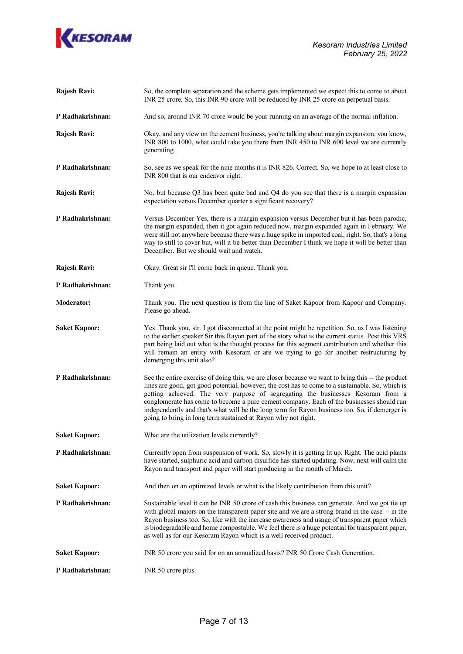

| Rajesh Ravi:         | So, the complete separation and the scheme gets implemented we expect this to come to about<br>INR 25 crore. So, this INR 90 crore will be reduced by INR 25 crore on perpetual basis.                                                                                                                                                                                                                                                                                                                                                                  |
|----------------------|---------------------------------------------------------------------------------------------------------------------------------------------------------------------------------------------------------------------------------------------------------------------------------------------------------------------------------------------------------------------------------------------------------------------------------------------------------------------------------------------------------------------------------------------------------|
| P Radhakrishnan:     | And so, around INR 70 crore would be your running on an average of the normal inflation.                                                                                                                                                                                                                                                                                                                                                                                                                                                                |
| Rajesh Ravi:         | Okay, and any view on the cement business, you're talking about margin expansion, you know,<br>INR 800 to 1000, what could take you there from INR 450 to INR 600 level we are currently<br>generating.                                                                                                                                                                                                                                                                                                                                                 |
| P Radhakrishnan:     | So, see as we speak for the nine months it is INR 826. Correct. So, we hope to at least close to<br>INR 800 that is our endeavor right.                                                                                                                                                                                                                                                                                                                                                                                                                 |
| Rajesh Ravi:         | No, but because Q3 has been quite bad and Q4 do you see that there is a margin expansion<br>expectation versus December quarter a significant recovery?                                                                                                                                                                                                                                                                                                                                                                                                 |
| P Radhakrishnan:     | Versus December Yes, there is a margin expansion versus December but it has been parodic,<br>the margin expanded, then it got again reduced now, margin expanded again in February. We<br>were still not anywhere because there was a huge spike in imported coal, right. So, that's a long<br>way to still to cover but, will it be better than December I think we hope it will be better than<br>December. But we should wait and watch.                                                                                                             |
| Rajesh Ravi:         | Okay. Great sir I'll come back in queue. Thank you.                                                                                                                                                                                                                                                                                                                                                                                                                                                                                                     |
| P Radhakrishnan:     | Thank you.                                                                                                                                                                                                                                                                                                                                                                                                                                                                                                                                              |
| <b>Moderator:</b>    | Thank you. The next question is from the line of Saket Kapoor from Kapoor and Company.<br>Please go ahead.                                                                                                                                                                                                                                                                                                                                                                                                                                              |
| <b>Saket Kapoor:</b> | Yes. Thank you, sir. I got disconnected at the point might be repetition. So, as I was listening<br>to the earlier speaker Sir this Rayon part of the story what is the current status. Post this VRS<br>part being laid out what is the thought process for this segment contribution and whether this<br>will remain an entity with Kesoram or are we trying to go for another restructuring by<br>demerging this unit also?                                                                                                                          |
| P Radhakrishnan:     | See the entire exercise of doing this, we are closer because we want to bring this -- the product<br>lines are good, got good potential, however, the cost has to come to a sustainable. So, which is<br>getting achieved. The very purpose of segregating the businesses Kesoram from a<br>conglomerate has come to become a pure cement company. Each of the businesses should run<br>independently and that's what will be the long term for Rayon business too. So, if demerger is<br>going to bring in long term sustained at Rayon why not right. |
| <b>Saket Kapoor:</b> | What are the utilization levels currently?                                                                                                                                                                                                                                                                                                                                                                                                                                                                                                              |
| P Radhakrishnan:     | Currently open from suspension of work. So, slowly it is getting lit up. Right. The acid plants<br>have started, sulphuric acid and carbon disulfide has started updating. Now, next will calm the<br>Rayon and transport and paper will start producing in the month of March.                                                                                                                                                                                                                                                                         |
| <b>Saket Kapoor:</b> | And then on an optimized levels or what is the likely contribution from this unit?                                                                                                                                                                                                                                                                                                                                                                                                                                                                      |
| P Radhakrishnan:     | Sustainable level it can be INR 50 crore of cash this business can generate. And we got tie up<br>with global majors on the transparent paper site and we are a strong brand in the case -- in the<br>Rayon business too. So, like with the increase awareness and usage of transparent paper which<br>is biodegradable and home compostable. We feel there is a huge potential for transparent paper,<br>as well as for our Kesoram Rayon which is a well received product.                                                                            |
| <b>Saket Kapoor:</b> | INR 50 crore you said for on an annualized basis? INR 50 Crore Cash Generation.                                                                                                                                                                                                                                                                                                                                                                                                                                                                         |
| P Radhakrishnan:     | INR 50 crore plus.                                                                                                                                                                                                                                                                                                                                                                                                                                                                                                                                      |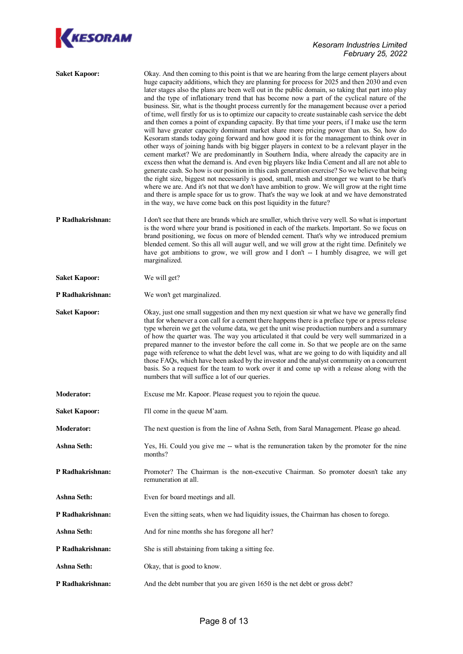

| <b>Saket Kapoor:</b> | Okay. And then coming to this point is that we are hearing from the large cement players about<br>huge capacity additions, which they are planning for process for 2025 and then 2030 and even<br>later stages also the plans are been well out in the public domain, so taking that part into play<br>and the type of inflationary trend that has become now a part of the cyclical nature of the<br>business. Sir, what is the thought process currently for the management because over a period<br>of time, well firstly for us is to optimize our capacity to create sustainable cash service the debt<br>and then comes a point of expanding capacity. By that time your peers, if I make use the term<br>will have greater capacity dominant market share more pricing power than us. So, how do<br>Kesoram stands today going forward and how good it is for the management to think over in<br>other ways of joining hands with big bigger players in context to be a relevant player in the<br>cement market? We are predominantly in Southern India, where already the capacity are in<br>excess then what the demand is. And even big players like India Cement and all are not able to<br>generate cash. So how is our position in this cash generation exercise? So we believe that being<br>the right size, biggest not necessarily is good, small, mesh and stronger we want to be that's<br>where we are. And it's not that we don't have ambition to grow. We will grow at the right time<br>and there is ample space for us to grow. That's the way we look at and we have demonstrated<br>in the way, we have come back on this post liquidity in the future? |
|----------------------|-----------------------------------------------------------------------------------------------------------------------------------------------------------------------------------------------------------------------------------------------------------------------------------------------------------------------------------------------------------------------------------------------------------------------------------------------------------------------------------------------------------------------------------------------------------------------------------------------------------------------------------------------------------------------------------------------------------------------------------------------------------------------------------------------------------------------------------------------------------------------------------------------------------------------------------------------------------------------------------------------------------------------------------------------------------------------------------------------------------------------------------------------------------------------------------------------------------------------------------------------------------------------------------------------------------------------------------------------------------------------------------------------------------------------------------------------------------------------------------------------------------------------------------------------------------------------------------------------------------------------------------------------------------------------------------|
| P Radhakrishnan:     | I don't see that there are brands which are smaller, which thrive very well. So what is important<br>is the word where your brand is positioned in each of the markets. Important. So we focus on<br>brand positioning, we focus on more of blended cement. That's why we introduced premium<br>blended cement. So this all will augur well, and we will grow at the right time. Definitely we<br>have got ambitions to grow, we will grow and I don't -- I humbly disagree, we will get<br>marginalized.                                                                                                                                                                                                                                                                                                                                                                                                                                                                                                                                                                                                                                                                                                                                                                                                                                                                                                                                                                                                                                                                                                                                                                         |
| <b>Saket Kapoor:</b> | We will get?                                                                                                                                                                                                                                                                                                                                                                                                                                                                                                                                                                                                                                                                                                                                                                                                                                                                                                                                                                                                                                                                                                                                                                                                                                                                                                                                                                                                                                                                                                                                                                                                                                                                      |
| P Radhakrishnan:     | We won't get marginalized.                                                                                                                                                                                                                                                                                                                                                                                                                                                                                                                                                                                                                                                                                                                                                                                                                                                                                                                                                                                                                                                                                                                                                                                                                                                                                                                                                                                                                                                                                                                                                                                                                                                        |
| <b>Saket Kapoor:</b> | Okay, just one small suggestion and then my next question sir what we have we generally find<br>that for whenever a con call for a cement there happens there is a preface type or a press release<br>type wherein we get the volume data, we get the unit wise production numbers and a summary<br>of how the quarter was. The way you articulated it that could be very well summarized in a<br>prepared manner to the investor before the call come in. So that we people are on the same<br>page with reference to what the debt level was, what are we going to do with liquidity and all<br>those FAQs, which have been asked by the investor and the analyst community on a concurrent<br>basis. So a request for the team to work over it and come up with a release along with the<br>numbers that will suffice a lot of our queries.                                                                                                                                                                                                                                                                                                                                                                                                                                                                                                                                                                                                                                                                                                                                                                                                                                    |
| <b>Moderator:</b>    | Excuse me Mr. Kapoor. Please request you to rejoin the queue.                                                                                                                                                                                                                                                                                                                                                                                                                                                                                                                                                                                                                                                                                                                                                                                                                                                                                                                                                                                                                                                                                                                                                                                                                                                                                                                                                                                                                                                                                                                                                                                                                     |
| <b>Saket Kapoor:</b> | I'll come in the queue M'aam.                                                                                                                                                                                                                                                                                                                                                                                                                                                                                                                                                                                                                                                                                                                                                                                                                                                                                                                                                                                                                                                                                                                                                                                                                                                                                                                                                                                                                                                                                                                                                                                                                                                     |
| <b>Moderator:</b>    | The next question is from the line of Ashna Seth, from Saral Management. Please go ahead.                                                                                                                                                                                                                                                                                                                                                                                                                                                                                                                                                                                                                                                                                                                                                                                                                                                                                                                                                                                                                                                                                                                                                                                                                                                                                                                                                                                                                                                                                                                                                                                         |
| Ashna Seth:          | Yes, Hi. Could you give me -- what is the remuneration taken by the promoter for the nine<br>months?                                                                                                                                                                                                                                                                                                                                                                                                                                                                                                                                                                                                                                                                                                                                                                                                                                                                                                                                                                                                                                                                                                                                                                                                                                                                                                                                                                                                                                                                                                                                                                              |
| P Radhakrishnan:     | Promoter? The Chairman is the non-executive Chairman. So promoter doesn't take any<br>remuneration at all.                                                                                                                                                                                                                                                                                                                                                                                                                                                                                                                                                                                                                                                                                                                                                                                                                                                                                                                                                                                                                                                                                                                                                                                                                                                                                                                                                                                                                                                                                                                                                                        |
| <b>Ashna Seth:</b>   | Even for board meetings and all.                                                                                                                                                                                                                                                                                                                                                                                                                                                                                                                                                                                                                                                                                                                                                                                                                                                                                                                                                                                                                                                                                                                                                                                                                                                                                                                                                                                                                                                                                                                                                                                                                                                  |
| P Radhakrishnan:     | Even the sitting seats, when we had liquidity issues, the Chairman has chosen to forego.                                                                                                                                                                                                                                                                                                                                                                                                                                                                                                                                                                                                                                                                                                                                                                                                                                                                                                                                                                                                                                                                                                                                                                                                                                                                                                                                                                                                                                                                                                                                                                                          |
| Ashna Seth:          | And for nine months she has foregone all her?                                                                                                                                                                                                                                                                                                                                                                                                                                                                                                                                                                                                                                                                                                                                                                                                                                                                                                                                                                                                                                                                                                                                                                                                                                                                                                                                                                                                                                                                                                                                                                                                                                     |
| P Radhakrishnan:     | She is still abstaining from taking a sitting fee.                                                                                                                                                                                                                                                                                                                                                                                                                                                                                                                                                                                                                                                                                                                                                                                                                                                                                                                                                                                                                                                                                                                                                                                                                                                                                                                                                                                                                                                                                                                                                                                                                                |
| Ashna Seth:          | Okay, that is good to know.                                                                                                                                                                                                                                                                                                                                                                                                                                                                                                                                                                                                                                                                                                                                                                                                                                                                                                                                                                                                                                                                                                                                                                                                                                                                                                                                                                                                                                                                                                                                                                                                                                                       |
| P Radhakrishnan:     | And the debt number that you are given 1650 is the net debt or gross debt?                                                                                                                                                                                                                                                                                                                                                                                                                                                                                                                                                                                                                                                                                                                                                                                                                                                                                                                                                                                                                                                                                                                                                                                                                                                                                                                                                                                                                                                                                                                                                                                                        |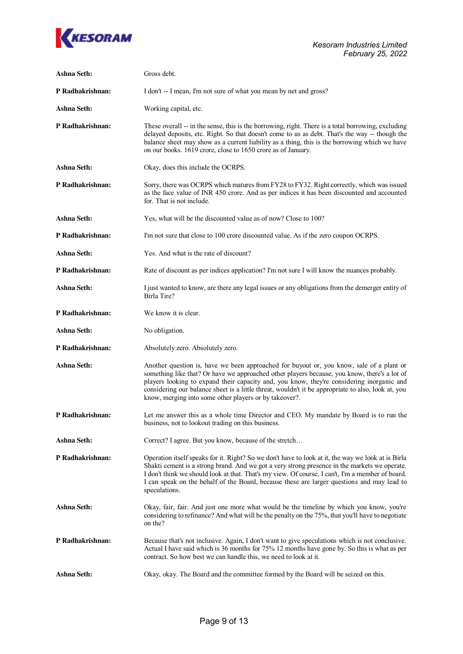

| <b>Ashna Seth:</b> | Gross debt.                                                                                                                                                                                                                                                                                                                                                                                                                                           |
|--------------------|-------------------------------------------------------------------------------------------------------------------------------------------------------------------------------------------------------------------------------------------------------------------------------------------------------------------------------------------------------------------------------------------------------------------------------------------------------|
| P Radhakrishnan:   | I don't -- I mean, I'm not sure of what you mean by net and gross?                                                                                                                                                                                                                                                                                                                                                                                    |
| <b>Ashna Seth:</b> | Working capital, etc.                                                                                                                                                                                                                                                                                                                                                                                                                                 |
| P Radhakrishnan:   | These overall -- in the sense, this is the borrowing, right. There is a total borrowing, excluding<br>delayed deposits, etc. Right. So that doesn't come to us as debt. That's the way -- though the<br>balance sheet may show as a current liability as a thing, this is the borrowing which we have<br>on our books. 1619 crore, close to 1650 crore as of January.                                                                                 |
| <b>Ashna Seth:</b> | Okay, does this include the OCRPS.                                                                                                                                                                                                                                                                                                                                                                                                                    |
| P Radhakrishnan:   | Sorry, there was OCRPS which matures from FY28 to FY32. Right correctly, which was issued<br>as the face value of INR 450 crore. And as per indices it has been discounted and accounted<br>for. That is not include.                                                                                                                                                                                                                                 |
| <b>Ashna Seth:</b> | Yes, what will be the discounted value as of now? Close to 100?                                                                                                                                                                                                                                                                                                                                                                                       |
| P Radhakrishnan:   | I'm not sure that close to 100 crore discounted value. As if the zero coupon OCRPS.                                                                                                                                                                                                                                                                                                                                                                   |
| <b>Ashna Seth:</b> | Yes. And what is the rate of discount?                                                                                                                                                                                                                                                                                                                                                                                                                |
| P Radhakrishnan:   | Rate of discount as per indices application? I'm not sure I will know the nuances probably.                                                                                                                                                                                                                                                                                                                                                           |
| <b>Ashna Seth:</b> | I just wanted to know, are there any legal issues or any obligations from the demerger entity of<br>Birla Tire?                                                                                                                                                                                                                                                                                                                                       |
| P Radhakrishnan:   | We know it is clear.                                                                                                                                                                                                                                                                                                                                                                                                                                  |
| <b>Ashna Seth:</b> | No obligation.                                                                                                                                                                                                                                                                                                                                                                                                                                        |
| P Radhakrishnan:   | Absolutely zero. Absolutely zero.                                                                                                                                                                                                                                                                                                                                                                                                                     |
| <b>Ashna Seth:</b> | Another question is, have we been approached for buyout or, you know, sale of a plant or<br>something like that? Or have we approached other players because, you know, there's a lot of<br>players looking to expand their capacity and, you know, they're considering inorganic and<br>considering our balance sheet is a little threat, wouldn't it be appropriate to also, look at, you<br>know, merging into some other players or by takeover?. |
| P Radhakrishnan:   | Let me answer this as a whole time Director and CEO. My mandate by Board is to run the<br>business, not to lookout trading on this business.                                                                                                                                                                                                                                                                                                          |
| Ashna Seth:        | Correct? I agree. But you know, because of the stretch                                                                                                                                                                                                                                                                                                                                                                                                |
| P Radhakrishnan:   | Operation itself speaks for it. Right? So we don't have to look at it, the way we look at is Birla<br>Shakti cement is a strong brand. And we got a very strong presence in the markets we operate.<br>I don't think we should look at that. That's my view. Of course, I can't, I'm a member of board.<br>I can speak on the behalf of the Board, because these are larger questions and may lead to<br>speculations.                                |
| Ashna Seth:        | Okay, fair, fair. And just one more what would be the timeline by which you know, you're<br>considering to refinance? And what will be the penalty on the 75%, that you'll have to negotiate<br>on the?                                                                                                                                                                                                                                               |
| P Radhakrishnan:   | Because that's not inclusive. Again, I don't want to give speculations which is not conclusive.<br>Actual I have said which is 36 months for 75% 12 months have gone by. So this is what as per<br>contract. So how best we can handle this, we need to look at it.                                                                                                                                                                                   |
| <b>Ashna Seth:</b> | Okay, okay. The Board and the committee formed by the Board will be seized on this.                                                                                                                                                                                                                                                                                                                                                                   |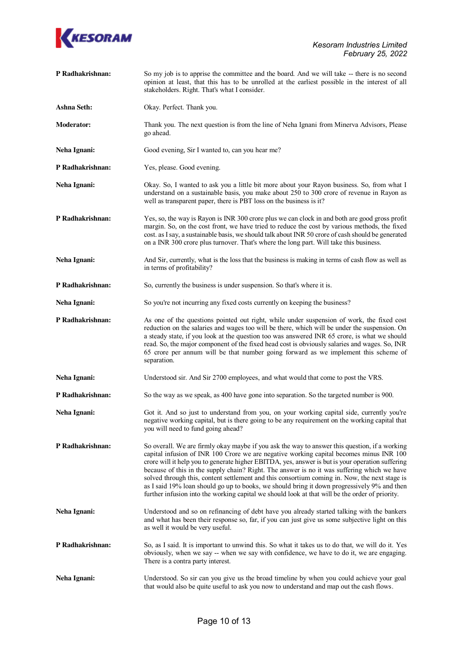

| P Radhakrishnan:   | So my job is to apprise the committee and the board. And we will take -- there is no second<br>opinion at least, that this has to be unrolled at the earliest possible in the interest of all<br>stakeholders. Right. That's what I consider.                                                                                                                                                                                                                                                                                                                                                                                                                                                  |
|--------------------|------------------------------------------------------------------------------------------------------------------------------------------------------------------------------------------------------------------------------------------------------------------------------------------------------------------------------------------------------------------------------------------------------------------------------------------------------------------------------------------------------------------------------------------------------------------------------------------------------------------------------------------------------------------------------------------------|
| <b>Ashna Seth:</b> | Okay. Perfect. Thank you.                                                                                                                                                                                                                                                                                                                                                                                                                                                                                                                                                                                                                                                                      |
| <b>Moderator:</b>  | Thank you. The next question is from the line of Neha Ignani from Minerva Advisors, Please<br>go ahead.                                                                                                                                                                                                                                                                                                                                                                                                                                                                                                                                                                                        |
| Neha Ignani:       | Good evening, Sir I wanted to, can you hear me?                                                                                                                                                                                                                                                                                                                                                                                                                                                                                                                                                                                                                                                |
| P Radhakrishnan:   | Yes, please. Good evening.                                                                                                                                                                                                                                                                                                                                                                                                                                                                                                                                                                                                                                                                     |
| Neha Ignani:       | Okay. So, I wanted to ask you a little bit more about your Rayon business. So, from what I<br>understand on a sustainable basis, you make about 250 to 300 crore of revenue in Rayon as<br>well as transparent paper, there is PBT loss on the business is it?                                                                                                                                                                                                                                                                                                                                                                                                                                 |
| P Radhakrishnan:   | Yes, so, the way is Rayon is INR 300 crore plus we can clock in and both are good gross profit<br>margin. So, on the cost front, we have tried to reduce the cost by various methods, the fixed<br>cost. as I say, a sustainable basis, we should talk about INR 50 crore of cash should be generated<br>on a INR 300 crore plus turnover. That's where the long part. Will take this business.                                                                                                                                                                                                                                                                                                |
| Neha Ignani:       | And Sir, currently, what is the loss that the business is making in terms of cash flow as well as<br>in terms of profitability?                                                                                                                                                                                                                                                                                                                                                                                                                                                                                                                                                                |
| P Radhakrishnan:   | So, currently the business is under suspension. So that's where it is.                                                                                                                                                                                                                                                                                                                                                                                                                                                                                                                                                                                                                         |
| Neha Ignani:       | So you're not incurring any fixed costs currently on keeping the business?                                                                                                                                                                                                                                                                                                                                                                                                                                                                                                                                                                                                                     |
| P Radhakrishnan:   | As one of the questions pointed out right, while under suspension of work, the fixed cost<br>reduction on the salaries and wages too will be there, which will be under the suspension. On<br>a steady state, if you look at the question too was answered INR 65 crore, is what we should<br>read. So, the major component of the fixed head cost is obviously salaries and wages. So, INR<br>65 crore per annum will be that number going forward as we implement this scheme of<br>separation.                                                                                                                                                                                              |
| Neha Ignani:       | Understood sir. And Sir 2700 employees, and what would that come to post the VRS.                                                                                                                                                                                                                                                                                                                                                                                                                                                                                                                                                                                                              |
| P Radhakrishnan:   | So the way as we speak, as 400 have gone into separation. So the targeted number is 900.                                                                                                                                                                                                                                                                                                                                                                                                                                                                                                                                                                                                       |
| Neha Ignani:       | Got it. And so just to understand from you, on your working capital side, currently you're<br>negative working capital, but is there going to be any requirement on the working capital that<br>you will need to fund going ahead?                                                                                                                                                                                                                                                                                                                                                                                                                                                             |
| P Radhakrishnan:   | So overall. We are firmly okay maybe if you ask the way to answer this question, if a working<br>capital infusion of INR 100 Crore we are negative working capital becomes minus INR 100<br>crore will it help you to generate higher EBITDA, yes, answer is but is your operation suffering<br>because of this in the supply chain? Right. The answer is no it was suffering which we have<br>solved through this, content settlement and this consortium coming in. Now, the next stage is<br>as I said 19% loan should go up to books, we should bring it down progressively 9% and then<br>further infusion into the working capital we should look at that will be the order of priority. |
| Neha Ignani:       | Understood and so on refinancing of debt have you already started talking with the bankers<br>and what has been their response so, far, if you can just give us some subjective light on this<br>as well it would be very useful.                                                                                                                                                                                                                                                                                                                                                                                                                                                              |
| P Radhakrishnan:   | So, as I said. It is important to unwind this. So what it takes us to do that, we will do it. Yes<br>obviously, when we say -- when we say with confidence, we have to do it, we are engaging.<br>There is a contra party interest.                                                                                                                                                                                                                                                                                                                                                                                                                                                            |
| Neha Ignani:       | Understood. So sir can you give us the broad timeline by when you could achieve your goal<br>that would also be quite useful to ask you now to understand and map out the cash flows.                                                                                                                                                                                                                                                                                                                                                                                                                                                                                                          |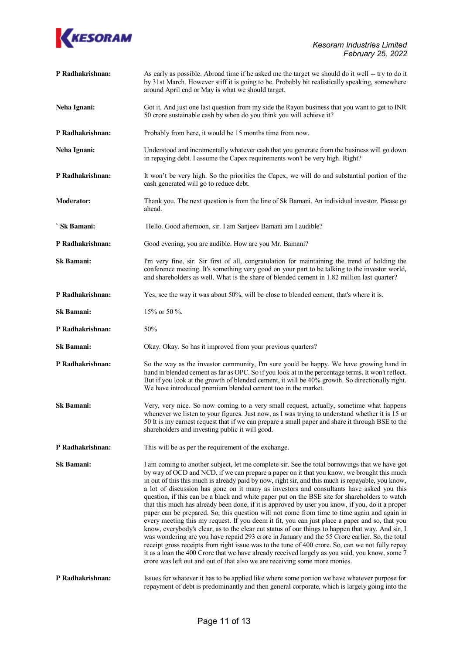

| P Radhakrishnan:  | As early as possible. Abroad time if he asked me the target we should do it well -- try to do it<br>by 31st March. However stiff it is going to be. Probably bit realistically speaking, somewhere<br>around April end or May is what we should target.                                                                                                                                                                                                                                                                                                                                                                                                                                                                                                                                                                                                                                                                                                                                                                                                                                                                                                                                                                                                                                        |
|-------------------|------------------------------------------------------------------------------------------------------------------------------------------------------------------------------------------------------------------------------------------------------------------------------------------------------------------------------------------------------------------------------------------------------------------------------------------------------------------------------------------------------------------------------------------------------------------------------------------------------------------------------------------------------------------------------------------------------------------------------------------------------------------------------------------------------------------------------------------------------------------------------------------------------------------------------------------------------------------------------------------------------------------------------------------------------------------------------------------------------------------------------------------------------------------------------------------------------------------------------------------------------------------------------------------------|
| Neha Ignani:      | Got it. And just one last question from my side the Rayon business that you want to get to INR<br>50 crore sustainable cash by when do you think you will achieve it?                                                                                                                                                                                                                                                                                                                                                                                                                                                                                                                                                                                                                                                                                                                                                                                                                                                                                                                                                                                                                                                                                                                          |
| P Radhakrishnan:  | Probably from here, it would be 15 months time from now.                                                                                                                                                                                                                                                                                                                                                                                                                                                                                                                                                                                                                                                                                                                                                                                                                                                                                                                                                                                                                                                                                                                                                                                                                                       |
| Neha Ignani:      | Understood and incrementally whatever cash that you generate from the business will go down<br>in repaying debt. I assume the Capex requirements won't be very high. Right?                                                                                                                                                                                                                                                                                                                                                                                                                                                                                                                                                                                                                                                                                                                                                                                                                                                                                                                                                                                                                                                                                                                    |
| P Radhakrishnan:  | It won't be very high. So the priorities the Capex, we will do and substantial portion of the<br>cash generated will go to reduce debt.                                                                                                                                                                                                                                                                                                                                                                                                                                                                                                                                                                                                                                                                                                                                                                                                                                                                                                                                                                                                                                                                                                                                                        |
| <b>Moderator:</b> | Thank you. The next question is from the line of Sk Bamani. An individual investor. Please go<br>ahead.                                                                                                                                                                                                                                                                                                                                                                                                                                                                                                                                                                                                                                                                                                                                                                                                                                                                                                                                                                                                                                                                                                                                                                                        |
| ` Sk Bamani:      | Hello. Good afternoon, sir. I am Sanjeev Bamani am I audible?                                                                                                                                                                                                                                                                                                                                                                                                                                                                                                                                                                                                                                                                                                                                                                                                                                                                                                                                                                                                                                                                                                                                                                                                                                  |
| P Radhakrishnan:  | Good evening, you are audible. How are you Mr. Bamani?                                                                                                                                                                                                                                                                                                                                                                                                                                                                                                                                                                                                                                                                                                                                                                                                                                                                                                                                                                                                                                                                                                                                                                                                                                         |
| <b>Sk Bamani:</b> | I'm very fine, sir. Sir first of all, congratulation for maintaining the trend of holding the<br>conference meeting. It's something very good on your part to be talking to the investor world,<br>and shareholders as well. What is the share of blended cement in 1.82 million last quarter?                                                                                                                                                                                                                                                                                                                                                                                                                                                                                                                                                                                                                                                                                                                                                                                                                                                                                                                                                                                                 |
| P Radhakrishnan:  | Yes, see the way it was about 50%, will be close to blended cement, that's where it is.                                                                                                                                                                                                                                                                                                                                                                                                                                                                                                                                                                                                                                                                                                                                                                                                                                                                                                                                                                                                                                                                                                                                                                                                        |
| <b>Sk Bamani:</b> | 15% or 50 %.                                                                                                                                                                                                                                                                                                                                                                                                                                                                                                                                                                                                                                                                                                                                                                                                                                                                                                                                                                                                                                                                                                                                                                                                                                                                                   |
| P Radhakrishnan:  | 50%                                                                                                                                                                                                                                                                                                                                                                                                                                                                                                                                                                                                                                                                                                                                                                                                                                                                                                                                                                                                                                                                                                                                                                                                                                                                                            |
| Sk Bamani:        | Okay. Okay. So has it improved from your previous quarters?                                                                                                                                                                                                                                                                                                                                                                                                                                                                                                                                                                                                                                                                                                                                                                                                                                                                                                                                                                                                                                                                                                                                                                                                                                    |
| P Radhakrishnan:  | So the way as the investor community, I'm sure you'd be happy. We have growing hand in<br>hand in blended cement as far as OPC. So if you look at in the percentage terms. It won't reflect.<br>But if you look at the growth of blended cement, it will be 40% growth. So directionally right.<br>We have introduced premium blended cement too in the market.                                                                                                                                                                                                                                                                                                                                                                                                                                                                                                                                                                                                                                                                                                                                                                                                                                                                                                                                |
| <b>Sk Bamani:</b> | Very, very nice. So now coming to a very small request, actually, sometime what happens<br>whenever we listen to your figures. Just now, as I was trying to understand whether it is 15 or<br>50 It is my earnest request that if we can prepare a small paper and share it through BSE to the<br>shareholders and investing public it will good.                                                                                                                                                                                                                                                                                                                                                                                                                                                                                                                                                                                                                                                                                                                                                                                                                                                                                                                                              |
| P Radhakrishnan:  | This will be as per the requirement of the exchange.                                                                                                                                                                                                                                                                                                                                                                                                                                                                                                                                                                                                                                                                                                                                                                                                                                                                                                                                                                                                                                                                                                                                                                                                                                           |
| Sk Bamani:        | I am coming to another subject, let me complete sir. See the total borrowings that we have got<br>by way of OCD and NCD, if we can prepare a paper on it that you know, we brought this much<br>in out of this this much is already paid by now, right sir, and this much is repayable, you know,<br>a lot of discussion has gone on it many as investors and consultants have asked you this<br>question, if this can be a black and white paper put on the BSE site for shareholders to watch<br>that this much has already been done, if it is approved by user you know, if you, do it a proper<br>paper can be prepared. So, this question will not come from time to time again and again in<br>every meeting this my request. If you deem it fit, you can just place a paper and so, that you<br>know, everybody's clear, as to the clear cut status of our things to happen that way. And sir, I<br>was wondering are you have repaid 293 crore in January and the 55 Crore earlier. So, the total<br>receipt gross receipts from right issue was to the tune of 400 crore. So, can we not fully repay<br>it as a loan the 400 Crore that we have already received largely as you said, you know, some 7<br>crore was left out and out of that also we are receiving some more monies. |
| P Radhakrishnan:  | Issues for whatever it has to be applied like where some portion we have whatever purpose for<br>repayment of debt is predominantly and then general corporate, which is largely going into the                                                                                                                                                                                                                                                                                                                                                                                                                                                                                                                                                                                                                                                                                                                                                                                                                                                                                                                                                                                                                                                                                                |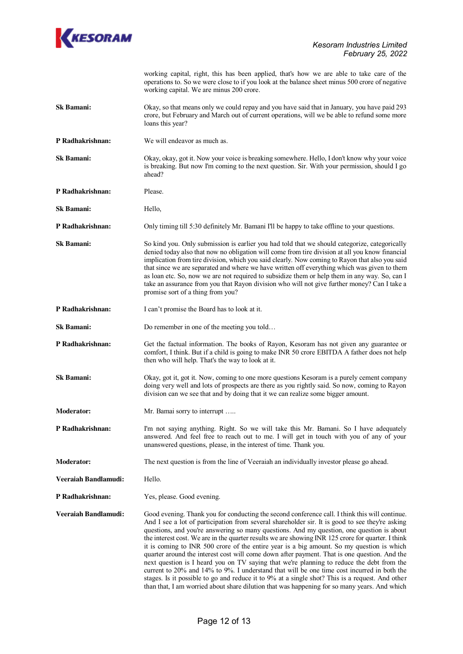

|                             | working capital, right, this has been applied, that's how we are able to take care of the<br>operations to. So we were close to if you look at the balance sheet minus 500 crore of negative<br>working capital. We are minus 200 crore.                                                                                                                                                                                                                                                                                                                                                                                                                                                                                                                                                                                                                                                                                                                                                        |
|-----------------------------|-------------------------------------------------------------------------------------------------------------------------------------------------------------------------------------------------------------------------------------------------------------------------------------------------------------------------------------------------------------------------------------------------------------------------------------------------------------------------------------------------------------------------------------------------------------------------------------------------------------------------------------------------------------------------------------------------------------------------------------------------------------------------------------------------------------------------------------------------------------------------------------------------------------------------------------------------------------------------------------------------|
| <b>Sk Bamani:</b>           | Okay, so that means only we could repay and you have said that in January, you have paid 293<br>crore, but February and March out of current operations, will we be able to refund some more<br>loans this year?                                                                                                                                                                                                                                                                                                                                                                                                                                                                                                                                                                                                                                                                                                                                                                                |
| P Radhakrishnan:            | We will endeavor as much as.                                                                                                                                                                                                                                                                                                                                                                                                                                                                                                                                                                                                                                                                                                                                                                                                                                                                                                                                                                    |
| Sk Bamani:                  | Okay, okay, got it. Now your voice is breaking somewhere. Hello, I don't know why your voice<br>is breaking. But now I'm coming to the next question. Sir. With your permission, should I go<br>ahead?                                                                                                                                                                                                                                                                                                                                                                                                                                                                                                                                                                                                                                                                                                                                                                                          |
| P Radhakrishnan:            | Please.                                                                                                                                                                                                                                                                                                                                                                                                                                                                                                                                                                                                                                                                                                                                                                                                                                                                                                                                                                                         |
| Sk Bamani:                  | Hello,                                                                                                                                                                                                                                                                                                                                                                                                                                                                                                                                                                                                                                                                                                                                                                                                                                                                                                                                                                                          |
| P Radhakrishnan:            | Only timing till 5:30 definitely Mr. Bamani I'll be happy to take offline to your questions.                                                                                                                                                                                                                                                                                                                                                                                                                                                                                                                                                                                                                                                                                                                                                                                                                                                                                                    |
| Sk Bamani:                  | So kind you. Only submission is earlier you had told that we should categorize, categorically<br>denied today also that now no obligation will come from tire division at all you know financial<br>implication from tire division, which you said clearly. Now coming to Rayon that also you said<br>that since we are separated and where we have written off everything which was given to them<br>as loan etc. So, now we are not required to subsidize them or help them in any way. So, can I<br>take an assurance from you that Rayon division who will not give further money? Can I take a<br>promise sort of a thing from you?                                                                                                                                                                                                                                                                                                                                                        |
| P Radhakrishnan:            | I can't promise the Board has to look at it.                                                                                                                                                                                                                                                                                                                                                                                                                                                                                                                                                                                                                                                                                                                                                                                                                                                                                                                                                    |
| <b>Sk Bamani:</b>           | Do remember in one of the meeting you told                                                                                                                                                                                                                                                                                                                                                                                                                                                                                                                                                                                                                                                                                                                                                                                                                                                                                                                                                      |
| P Radhakrishnan:            | Get the factual information. The books of Rayon, Kesoram has not given any guarantee or<br>comfort, I think. But if a child is going to make INR 50 crore EBITDA A father does not help<br>then who will help. That's the way to look at it.                                                                                                                                                                                                                                                                                                                                                                                                                                                                                                                                                                                                                                                                                                                                                    |
| Sk Bamani:                  | Okay, got it, got it. Now, coming to one more questions Kesoram is a purely cement company<br>doing very well and lots of prospects are there as you rightly said. So now, coming to Rayon<br>division can we see that and by doing that it we can realize some bigger amount.                                                                                                                                                                                                                                                                                                                                                                                                                                                                                                                                                                                                                                                                                                                  |
| <b>Moderator:</b>           | Mr. Bamai sorry to interrupt                                                                                                                                                                                                                                                                                                                                                                                                                                                                                                                                                                                                                                                                                                                                                                                                                                                                                                                                                                    |
| P Radhakrishnan:            | I'm not saying anything. Right. So we will take this Mr. Bamani. So I have adequately<br>answered. And feel free to reach out to me. I will get in touch with you of any of your<br>unanswered questions, please, in the interest of time. Thank you.                                                                                                                                                                                                                                                                                                                                                                                                                                                                                                                                                                                                                                                                                                                                           |
| <b>Moderator:</b>           | The next question is from the line of Veeraiah an individually investor please go ahead.                                                                                                                                                                                                                                                                                                                                                                                                                                                                                                                                                                                                                                                                                                                                                                                                                                                                                                        |
| <b>Veeraiah Bandlamudi:</b> | Hello.                                                                                                                                                                                                                                                                                                                                                                                                                                                                                                                                                                                                                                                                                                                                                                                                                                                                                                                                                                                          |
| P Radhakrishnan:            | Yes, please. Good evening.                                                                                                                                                                                                                                                                                                                                                                                                                                                                                                                                                                                                                                                                                                                                                                                                                                                                                                                                                                      |
| Veeraiah Bandlamudi:        | Good evening. Thank you for conducting the second conference call. I think this will continue.<br>And I see a lot of participation from several shareholder sir. It is good to see they're asking<br>questions, and you're answering so many questions. And my question, one question is about<br>the interest cost. We are in the quarter results we are showing INR 125 crore for quarter. I think<br>it is coming to INR 500 crore of the entire year is a big amount. So my question is which<br>quarter around the interest cost will come down after payment. That is one question. And the<br>next question is I heard you on TV saying that we're planning to reduce the debt from the<br>current to 20% and 14% to 9%. I understand that will be one time cost incurred in both the<br>stages. Is it possible to go and reduce it to 9% at a single shot? This is a request. And other<br>than that, I am worried about share dilution that was happening for so many years. And which |